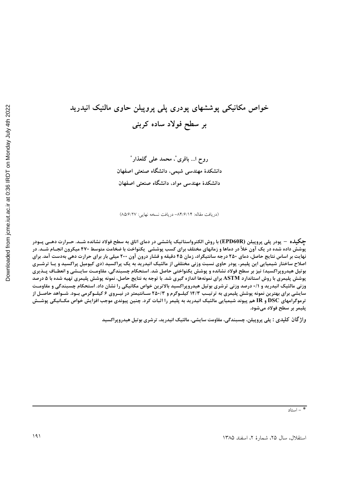# خواص مکانیکی پوششهای پودری پلی پروپیلن حاوی مالئیک انیدرید بر سطح فولاد ساده کربنی

**( ... & \* )\*+ , --. / \*** دانشکدهٔ مهندسی شیمی، دانشگاه صنعتی اصفهان دانشکدهٔ مهندسی مواد، دانشگاه صنعتی اصفهان

(دریافت مقاله: ۸۴/۶/۱۴– دریافت نسخه نهایی: ۸۵/۶/۲۷)

**چگیلـه – پودر پلی پروپیلن (EPD60R) با روش الکترواستاتیک پاششی در دمای اتاق به سطح فولاد نشانده شــد. حــرارت دهــی پــودر** پوشش داده شده در یک آون خلأ در دماها و زمانهای مختلف برای کسب پوششی یکنواخت با ضخامت متوسط ۴۷۰ میکرون انجـام شــد. در نهایت بر اساس نتایج حاصل، دمای ۲۵۰ درجه سانتیگراد، زمان ۴۵ دقیقه و فشار درون آون ۲۰۰ میلی بار برای حرارت دهی بهدست آمد. برای اصلاح ساختار شیمیایی این پلیمر، پودر حاوی نسبت وزنی مختلفی از مالئیک انیدرید به یک پراکسید (دی کیومیل پراکسید و یـا ترشــری بوتیل هیدروپراکسید) نیز بر سطح فولاد نشانده و پوشش یکنواختی حاصل شد. استحکام چسبندگی، مقاومـت سایــشی و انعطــاف پــذیری پوشش پلیمری با روش استاندارد ASTM برای نمونهها اندازه گیری شد. با توجه به نتایج حاصل، نمونه پوشش پلیمری تهیه شده با ۵ درصد وزنی مالئیک انیدرید و ۰/۱ درصد وزنی ترشری بوتیل هیدروپراکسید بالاترین خواص مکانیکی را نشان داد. استحکام چسبندگی و مقاومـت سایشی برای بهترین نمونه پوشش پلیمری به ترتیـب ۱۴/۳ کیلــوگرم و ۲۵۰/۳ ســانتیمتر در نیــروی ۶ کیلــوگرمی بــود. شــواهد حاصــل از ترموگرامهای DSC و IR هم پیوند شیمیایی مالئیک انیدرید به پلیمر را اثبات کرد. چنین پیوندی موجب افزایش خواص مکــانیکی پوشــش پلیمر بر سطح فولاد میشود.

**واژ گان کلیدی : پلی پروپیلن، چسبندگی، مقاومت سایشی، مالئیک انیدرید، ترشری بوتیل هیدروپراکسید**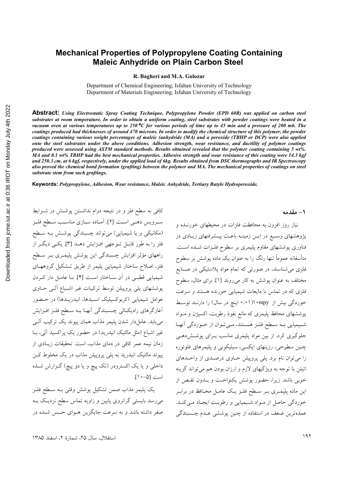### **Mechanical Properties of Polypropylene Coating Containing Maleic Anhydride on Plain Carbon Steel**

**R. Bagheri and M.A. Golozar** 

Department of Chemical Engineering, Isfahan University of Technology Department of Materials Engineering, Isfahan University of Technology

**Abstract:** *Using Electrostatic Spray Coating Technique, Polypropylene Powder (EPD 60R) was applied on carbon steel substrates at room temperature. In order to obtain a uniform coating, steel substrates with powder coatings were heated in a vacuum oven at various temperatures up to 250*°° *C for various periods of time up to 45 min and a pressure of 200 mb. The coatings produced had thicknesses of around 470 microns. In order to modify the chemical structure of this polymer, the powder coatings containing various weight percentages of maleic (anhydride (MA) and a peroxide (TBHP or DCP) were also applied onto the steel substrates under the above conditions. Adhesion strength, wear resistance, and ductility of polymer coatings produced were assessed using ASTM standard methods. Results obtained revealed that the polymer coating containing 5 wt%. MA and 0.1 wt% TBHP had the best mechanical properties. Adhesive strength and wear resistance of this coating were 14.3 kgf and 250.3 cm, at 6 kgf, respectively, under the applied load of 6kg. Results obtained from DSC thermographs and IR Spectroscopy also proved the chemical bond formation (grafting) between the polymer and MA. The mechanical properties of coatings on steel substrate stem from such graftings.* 

**Keywords:** *Polypropylene, Adhesion, Wear resistance, Maleic Anhydride, Tertiary Butyle Hydroperoxide.* 

کافی به سطح فلز و در نتیجه دوام نداشــتن پوشــش در شــرایط سـرويس دهـي اسـت [٢]. أمــاده ســازي مناسـب ســطح فلــز (مکانیکی و یا شیمیایی) میتواند چسبندگی پوشش بـه سـطح فلز را به طور قابــل تــوجهي افــزايش دهـــد [۳]. يكــي ديگــر از راههای مؤثر افزایش چسبندگی این پوشش پلیمـری بـر سـطح فلز، اصلاح ساختار شیمیایی پلیمر از طریق تــشکیل گروههـای شیمیایی قطبـی در آن ســاختار اسـت [۴]. بــا عامــل دار کــردن پوششهای پلی پروپیلن توسط ترکیبات غیر اشـباع الــی حــاوی عوامل شیمیایی (کربوکسیلیک اسـیدها، انیدریــدها) در حــضور اغازگرهای رادیکـالی چــسبندگی انهــا بــه ســطح فلــز افــزايش مییابد. عاملدار شدن پلیمر مذاب همان پیوند یک ترکیب الــی غیر اشباع (مثل مالئیک انیدرید) در حضور یک پراکسید الی، بــا زمان نیمه عمر کافی در دمای مذاب، است. تحقیقات زیــادی از پیوند مالئیک انیدرید به پلی پروپیلن مذاب در یک مخلوط کـن داخلی و یا یک اکسترودر (تک پیچ و یا دو پیچ) گــزارش شــده است [۵–۱۰].

يک پليمر مذاب ضمن تشکيل پوشش وقتي بـه سـطح فلـز میرسد بایستی گرانروی پایین و زاویه تماس سطح نزدیـک بــه صفر داشته باشد و به سرعت جایگزین هــوای حــبس شــده در **1 - مقدمه** 

نیاز روز افزون به محافظت فلزات در محیطهای خورنــده و پژوهشهای وسـیع در ایــن زمینــه باعــث پیــشرفتهای زیــادی در فناوری پوششهای مقاوم پلیمری بر سطوح فلــزات شــده اســت. متاسفانه عموما تنها رنگ را به عنوان یک ماده پوشش بر سطوح فلزی میشناسند، در صورت<sub>ی</sub> که تمام مواد پلاستیکی در صــنایع مختلف به عنوان پوشش به کار میروند [۱]. برای مثال، سطوح فلزی که در تماس با مایعات شیمیایی خورنده هستند و سرعت خوردگی بیش از mpy° ۱۱'۰۱° اینچ در سال) را دارنــد توســط پوششهای محافظ پلیمری که مانع نفوذ رطوبت، اکسیژن و مــواد شـيميايي بــه ســطح فلــز هــستند، مــيتــوان از خــوردگي انهــا جلوگیری کرد. از بین مواد پلیمری مناسب بــرای پوشــش۱دهــی چنین سطوحی، رزینهای اپکسی، سیلیکونی و پلیمرهای فلوئوره را میتوان نام برد. پلی پروپیلن حــاوی درصــدی از واحــدهای اتیلن با توجه به ویژگیهای لازم و ارزان بودن هم میتواند گزینه خوبی باشد. زیرا، حضور پوشش یکنواخـت و بــدون نقــص از این ماده پلیمـری بـر سـطح فلـز یـک عامـل محـافظ در برابـر خوردگی حاصل از مـواد شـیمیایی و رطوبـت ایجـاد مـیکنـد. عمدهترین ضعف در استفاده از چنین پوششی عــدم چــسبندگی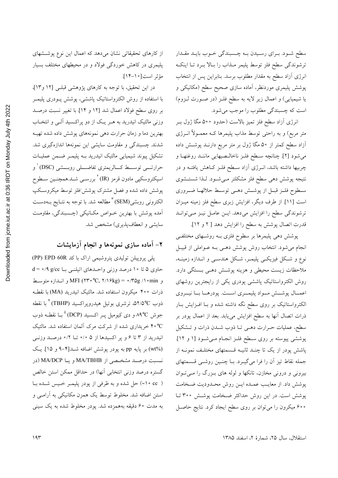سطح شــود. بــراي رســيدن بــه چــسبندگي خــوب بايــد مقــدار ترشوندگی سطح فلز توسط پلیمر مـذاب را بـالا بــرد تــا اینکــه انرژی ازاد سطح به مقدار مطلوب برسد. بنابراین پس از انتخاب پوشش پلیمری موردنظر، اماده سازی صحیح سطح (مکانیکی و یا شیمیایی) و اعمال زیر لایه به سطح فلـز (در صـورت لـزوم) است که چسبندگی مطلوب را موجب می شود.

انرژی ازاد سطح فلز تمیز بالاست (حدود ۵۰۰ مگا ژول بــر متر مربع) و به راحتی توسط مذاب پلیمرها کـه معمــولا انــرژی ازاد سطح کمتر از ۵۰ مگا ژول بر متر مربع دارنــد پوشــش داده میشود [۲]. چنانچه سـطح فلــز ناخالــصیهایی ماننــد روغنهــا و چربیها داشته باشد، انــرژی ازاد ســطح فلــز کــاهش یافتــه و در نتيجه پوشش دهي سطح فلز مشكلتر مـيشـود. لـذا شستـشوي سـطوح فلــز قبــل از پوشـــش دهــي توســط حلالهــا ضـــروري است [۱۱]. از طرف دیگر، افزایش زبری سطح فلز زمینه میـزان ترشوندگی سطح را افزایش میدهد. ایــن عامــل نیــز مــیتوانــد قدرت اتصال پوشش به سطح را افزایش دهد [ ۲ و ۱۲].

پوشش دهی پلیمرها بر سطوح فلزی بــه روشــهای مختلفــی انجام میشود. انتخاب روش پوشش دهــی بــه عــواملی از قبیــل .<br>نوع و شكل فيزيكـي پليمـر، شكل هندسـي و انــدازه زمينــه، ملاحظات زیست محیطی و هزینه پوشــش دهــی بــستگی دارد. روش الکترواستاتیک پاششی پودری یکی از رایجترین روشهای اعمــال پوشـــش مــواد پليمـــرى اســت. پودرهـــا بـــا نيـــروى الکترواستاتیک بر روی سطح نگه داشته شده و بـا افــزایش بــار ذرات اتصال انها به سطح افزایش مییابد. بعد از اعمال پودر بر سطح، عملیات حــرارت دهــی تــا ذوب شــدن ذرات و تــشکیل پوششی پیوسته بر روی سـطح فلـز انجـام مـیشـود [۱ و ۱۲]. اشش پودر از یک تا چنــد ثانیــه قــسمتهای مختلــف نمونــه از B جمله نقاط تیز ان را فرا میگیــرد. بــا چنــین روشــی قــسمتهای بیرونی و درونی مخازن، تانکها و لوله های بــزرگ را مــیتــوان پوشش داد. از معایـب عمـده ایــن روش محـدودیت ضـخامت پوشش است. در این روش حداکثر ضـخامت پوشــش ۳۰۰ تــا **۶۰۰ میکرون را می**توان بر روی سطح ایجاد کرد. نتایج حاصــل

از کارهای تحقیقاتی نشان م<sub>ی</sub>دهد که اعمال این نوع پوشــشهای پلیمری در کاهش خوردگی فولاد و در محیطهای مختلف بسیار مؤثر است[١٠-١٣].

در این تحقیق، با توجه به کارهای پژوهشی قبلـی [۱۲ و۱۳]، ا استفاده از روش الکترواستاتیک پاششی، پوشش پــودری پلیمــر ! بر روی سطح فولاد اعمال شد [۱۲ و ۱۴]. با تغییر نسبت درصـد وزنی مالئیک انیدرید به هــر یــک از دو پراکــسید الــی و انتخــاب بهترین دما و زمان حرارت دهی نمونههای پوشش داده شده تهیــه شدند. چسبندگی و مقاومت سایشی این نمونهها اندازهگیری شد. تشکیل پیوند شیمیایی مالئیک انیدرید بــه پلیمــر ضــمن عملیــات حرارتــــی توســــط كــــالريمتری تفاضـــــلی روبـــــشی (DSC) <sup>۱</sup> و اسپکتروسکپی مادون قرمز (IR) <sup>۲</sup> بررسـی شــد.همچنــین ســطوح پوشش داده شده و فصل مشترک پوشش/فلز توسط میکروسکپ الکترونی روبشی(SEM) <sup>۳</sup> مطالعه شد. با توجه به نتـایج بــهدســت امده پوشش با بهترین خــواص مکــانیکی (چــسبندگی، مقاومــت سایشی و انعطافپذیری) مشخص شد.

## **B?@ CD A<- ?! @ 8>**

پلی پروپیلن تولیدی پتروشیمی اراک با کد PP) EPD 60R حاوی ۵ تا ۱۰درصد وزنی واحـدهای اتیلنــی بــا d = ۰/۹ و MFI (۲۳۰°C, ۲/۱۶kg) = ۰/۳۵g /۱۰min و انــدازه متوســط ذرات °°۴ میکرون استفاده شد. مالئیک انیدرید (MA) با نقطـه ذوب ٢/٥°د. ترشری بوتیل هیدروپراکسید (TBHP) ٔ با نقطه ! جوش A°C و دی کیومیل پــر اکــسید (DCP) ° بــا نقطــه ذوب ۴۰°C خریداری شده از شرکت مرک ألمان استفاده شد. مالئیک انیدرید از ۳ تا ۶ و پر اکسیدها از ۵ ۰/۰ تــا ۰/۲ درصــد وزنــی (wt%) بر پایه pp به پودر پوشش اضافه شــد[۴–۹ و ۱۵]. یــک نــسبت درصــد مشخــصـي از MA/TBHB و يـــا MA/DCP (در گستره درصد وزنی انتخابی آنها) در حداقل ممکن استن خالص ( cc °C) حل شده و به ظرفی از پودر پلیمـر خـیس شــده بــا استن اضافه شد. مخلوط توسط یک همزن مکانیکی به ارامـی و به مدت ۶۰ دقیقه بههمزده شد. پودر مخلوط شده به یک سینی

استقلال، سال ۲۵، شمارهٔ ۲، اسفند ۱۳۸۵  $\,$  ۱۳۸۵  $\,$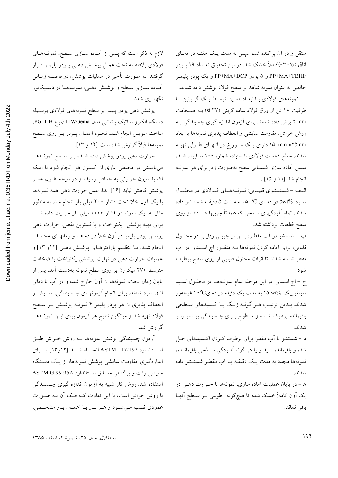منتقل و در آن پراکنده شد، سپس به مدت یـک هفتـه در دمـای اتاق (۳۰°c)کاملاً خشک شد. در این تحقیـق تعــداد ۱۹ پــودر PP+MA+TBHP و ۵ پودر PP+MA+DCP و یک پودر پلیمـر خالص به عنوان نمونه شاهد بر سطح فولاد پوشش داده شدند.

نمونههاي فولادي بـا ابعـاد معـين توسـط يـك گيـوتين بـا ظرفیت ۱۰ تن از ورق فولاد ساده کربنی (st ۳۷) بـه ضـخامت mm ۲ برش داده شدند. برای آزمون اندازه گیری چسبندگی بـه روش خراش، مقاومت سایشی و انعطاف پذیری نمونهها با ابعاد mm ×۲۵mm ه۱۵۰ دارای یک سوراخ در انتهای طولی تهیه شدند. سطح قطعات فولادي با سنباده شماره ۱۰۰ سـاييده شـد، سپس آماده سازی شیمیایی سطح بهصورت زیر برای هر نمونـه انجام شد [۱۱ و ۱۵].

الف - شستـشوي قليـايي: نمونـههـاي فـولادي در محلـول سود ۵wt% در دمای C°۰C به مـدت ۵ دقیقـه شستـشو داده شدند. تمام آلودگیهای سطحی که عمدتاً چربیها هـستند از روی سطح قطعات برداشته شد.

ب - شستشو در آب مقطـر: پـس از چربـی زدایـی در محلـول قلیایی، برای آماده کردن نمونهها بـه منظـور اچ اسـیدی در آب مقطر شسته شدند تا اثرات محلول قليايي از روى سطح برطرف شو د.

ج - اچ اسیدی: در این مرحله تمام نمونهها در محلول اسید سولفوریک %wt به مدت یک دقیقه در دمای°°۴ غوطهور شدند. بـدین ترتیـب هـر گونـه زنـگ یـا اکـسیدهای سـطحی باقیمانده برطرف شـده و سـطوح بـرای چـسبندگی بیـشتر زبـر شدند.

د – شستشو با آب مقطر: برای برطرف کـردن اکـسیدهای حـل شده و باقیمانده اسید و یا هر گونه آلـودگی سـطحی باقیمانــده، نمونهها مجدد به مدت یـک دقیقـه بــا اَب مقطـر شستــشو داده شدند.

ه – در پایان عملیات آماده سازی، نمونهها با حـرارت دهـبی در یک اَون کاملاً خشک شده تا هیچگونه رطوبتی بـر سـطح اَنهـا باقى نماند.

لازم به ذکر است که پـس از آمـاده سـازي سـطح، نمونـههـاي فولادي بلافاصله تحت عمـل پوشـش دهـي پـودر پليمـر قـرار گرفتند. در صورت تأخیر در عملیات پوشش، در فاصـله زمـانـی آمـاده سـازي سـطح و پوشـش دهـي، نمونـههـا در دسـيكاتور نگهداري شدند.

پوشش دهی پودر پلیمر بر سطح نمونههای فولادی بوسـیله دستگاه الکترواستاتیک پاششی مدل ITWGema (نوع PG 1-B) ساخت سويس انجام شـد. نحـوه اعمـال پـودر بـر روي سـطح نمونهها قبلاً گزارش شده است [۱۲ و ۱۳].

حرارت دهی پودر پوشش داده شـده بـر سـطح نمونـههـا میبایستی در محیطی عاری از اکسیژن هوا انجام شود تا اینکه اکسیداسیون حرارتی به حداقل رسیده و در نتیجه طـول عمـر پوشش كاهش نيابد [۱۶]. لذا، عمل حرارت دهي همه نمونهها با یک اَون خلأ تحت فشار ۲۰۰ میلی بار انجام شد. به منظور مقایسه، یک نمونه در فشار ۱۰۰۰ میلی بار حرارت داده شـد. برای تهیه پوشش یکنواخت و با کمترین نقص، حرارت دهی پوشش پودر پلیمر در آون خلأ در دماهــا و زمانهــای مختلــف انجام شــد. بــا تنظـيم پارامترهــاي پوشــش دهــي [۱۲و ۱۳] و عملیات حرارت دهی در نهایت پوششی یکنواخت با ضخامت متوسط ۴۷۰ میکرون بر روی سطح نمونه بهدست آمد. پس از پایان زمان پخت، نمونهها از آون خارج شده و در آب تا دمای اتاق سرد شدند. برای انجام آزمونهـای چــسبندگی، ســایش و انعطاف پذیری از هر پودر پلیمر ۴ نمونـه پوشـش بـر سـطح فولاد تهیه شد و میانگین نتایج هر آزمون برای ایـن نمونـههـا گزارش شد.

أزمون چسبندگی یوشش نمونهها بـه روش خـراش طبـق استاندارد 1)2197 ASTM انجمام شد [١٢و١٣]. براي اندازهگیری مقاومت سایشی پوشش نمونهها، از یک دستگاه سایشی رفت و برگشتی مطابق استاندارد ASTM G 99-95Z استفاده شد. روش کار شبیه به آزمون اندازه گیری چـسبندگی با روش خراش است، با این تفاوت کـه فـک آن بـه صـورت عمودي نصب مے شود و هر بار با اعمال بار مشخصی،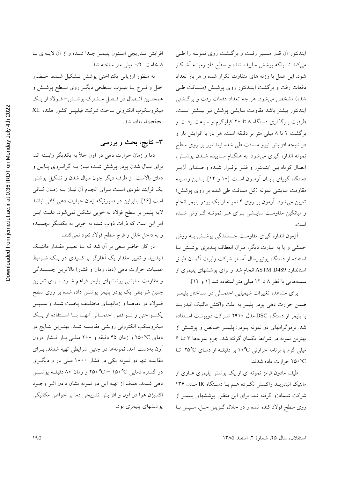ایندنتور آن قدر مسیر رفت و برگشت روی نمونـه را طـی میکند تا اینکه پوشش ساییده شده و سطح فلز زمینــه اشــکار شود. این عمل با وزنه های متفاوت تکرار شده و هر بار تعداد دفعات رفت و برگشت اینــدنتور روی پوشــش (مــسافت طــی شده) مشخص میشود. هر چه تعداد دفعات رفت و برگشتی ايندنتور بيشتر باشد مقاومت سايشى پوشش نيز بيــشتر اســت. ظرفیت بارگذاری دستگاه ۸ تا ۲۰ کیلوگرم و سرعت رفــت و برگشت ۲ تا ۸ میلی متر بر دقیقه است. هر بار با افزایش بار و در نتیجه افزایش نیرو مسافت طی شده ایندنتور بر روی سطح نمونه اندازه گیری میشود. به هنگــام ســاییده شــدن پوشــش، اتصال کوتاه بین ایندنتور و فلـز برقـرار شـده و صـدای اژیــر دستگاه گویای پایـان آزمـون اسـت [۱۰ و ۱۴]. بــدین وســیله مقاومت سایشی نمونه (کل مسافت طی شده بر روی پوشش) تعیین میشود. ازمون بر روی ۴ نمونه از یک پودر پلیمر انجام و میانگین مقاومت سایــشی بــرای هــر نمونــه گــزارش شــده است.

ازمون اندازه گیری مقاومت چــسبندگی پوشــش بــه روش خمشی و یا به عبارت دیگر، میزان انعطاف پــذیری پوشــش بــا استفاده از دستگاه یونیورسال امسلر شرکت ولپرت المــان طبــق استاندارد ASTM D489 انجام شد و برای پوششهای پلیمری از سمبههایی با قطر ۸ تا ۱۲ میلی متر استفاده شد [۱ و ۱۲].

برای مشاهده تغییرات شیمیایی احتمـالی در سـاختار پلیمـر ضمن حرارت دهی پودر پلیمر به علت واکنش مالئیک انیدریــد ا پلیمر از دستگاه DSC مدل ۲۹۱۰ شــرکت دوپونــت اســتفاده 9 شد. ترموگرامهای دو نمونه پــودر: پلیمــر خــالص و پوشــش از بهترین نمونه در شرایط یکسان گرفته شد. جرم نمونهها ۳ تــا ۶ میل<sub>ی</sub> گرم با برنامه حرارت<sub>ی</sub> °۱۰° بر دقیقــه از دمــای ۲۵°C تــا °C <% حرارت داده شدند.

طیف مادون قرمز نمونه ای از یک پوشش پلیمری عــاری از مالئيک انيدريــد واکــنش نکــرده هــم بــا دســتگاه IR مــدل ۴۳۶ شرکت شیمادزو گرفته شد. برای این منظور پوششهای پلیمـر از روی سطح فولاد کنده شده و در حلال گــزيلن حــل، ســپس بــا

افزایش تــدریجی اســتون پلیمــر جــدا شــده و از ان لایــهای بــا ضخامت ۰/۲ میلی متر ساخته شد.

به منظور ارزیاب<sub>ی</sub> یکنواخت<sub>ی</sub> پوشش تــشکیل شــده، حــضور خلل و فـرج يــا عيــوب ســطحى ديگــر روى ســطح پوشــش و همچنــین اتــصال در فــصل مـــشترک پوشـــش− فــولاد از یــک ميكروسكوپ الكترونى ساخت شركت فيليپس كشور هلند. XL series استفاده شد.

#### **! F. /G5 8E**

دما و زمان حرارت ده<sub>ی</sub> در اون خلأ به یکدیگر وابسته اند. برای سیال شدن پودر پوشش شـده نیــاز بــه گرانــروی پــایین و دمای بالاست. از طرف دیگر چون سیال شدن و تشکیل پوشش یک فرایند نفوذی اسـت بــرای انجــام ان نیــاز بــه زمــان کــافی است [۱۶]. بنابراین در صورتیکه زمان حرارت ده<sub>ی</sub> کافی نباشد لایه پلیمر بر سطح فولاد به خوبی تشکیل نمیشود. علـت ایــن امر این است که ذرات ذوب شده به خوبی به یکدیگر نچسبیده و به داخل خلل و فرج سطح فولاد نفود نمي كنند.

در کار حاضر سعی بر ان شد که بــا تغییــر مقــدار مالئیــک انیدرید و تغییر مقدار یک اغازگر پراکسیدی در یـک شــرایط عملیات حرارت دہ<sub>ی</sub> (دما، زمان و فشار) بالاترین چــسبندگی و مقاومت سایشی پوششهای پلیمر فراهم شــود. بــرای تعیــین چنین شرایطی یک پودر پلیمر پوشش داده شده بر روی سطح فـولاد در دماهــا و زمانهــاى مختلــف پخــت شــد و ســـپس یکنـــواختی و نـــواقص احتمـــالی انهـــا بـــا اســـتفاده از یـــک میکروسکپ الکترونی روبشی مقایــسه شــد. بهتــرین نتــایج در دمای C°°۲۵ و زمان ۴۵ دقیقه و °°۲ میلــی بــار فــشار درون اون بهدست امد. نمونهها در چنین شرایطی تهیه شدند. بــرای مقایسه تنها دو نمونه یک<sub>ی</sub> در فشار ۱۰۰۰ میل<sub>ی</sub> بار و دیگــری در گستره دمایی C <sup>0</sup> °C – ۱۵۰°C و زمان ۸۰ دقیقـه پوشــش دهی شدند. هدف از تهیه این دو نمونه نشان دادن اثــر وجــود اکسیژن هوا در اون و افزایش تدریجی دما بر خواص مکانیکی پوششهای پلیمری بود.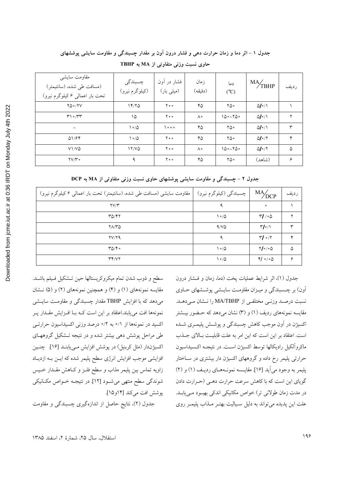| مقاومت سايشي<br>(مسافت طی شده، (سانتیمتر)<br>تحت بار اعمالي ۶ کیلوگرم نیرو) | چسبندگی<br>(کیلوگرم نیرو) | فشار در آون<br>(میلی بار) | زمان<br>(دقيقه) | دما<br>$(^{\circ}C)$ | $M\frac{A}{T}$ BHP         | رديف |
|-----------------------------------------------------------------------------|---------------------------|---------------------------|-----------------|----------------------|----------------------------|------|
| $YQ \circ / YV$                                                             | 14/70                     | $Y \circ \circ$           | ۴۵              | ۲۵۰                  | $\Delta I \cdot / \Lambda$ |      |
| $Y \circ \pi Y$                                                             | ۱۵                        | ه ه ۲                     | ٨۰              | $100 - 700$          | $\Delta I \cdot / \Delta$  |      |
| $\overline{\phantom{m}}$                                                    | $\frac{1}{2}$             | 0 0 0                     | ۴۵              | ۲۵۰                  | $\Delta I \cdot / \Lambda$ | ٣    |
| 01/94                                                                       | $\frac{1}{2}$             | $Y \circ \circ$           | ۴۵              | ۲۵۰                  | $\Delta I \cdot /T$        | ۴    |
| $V1/V\Delta$                                                                | 17/20                     | $Y \circ \circ$           | Λ۰              | $100 - 700$          | $\Delta I \cdot /T$        | ۵    |
| $\mathsf{Y}\mathsf{V}/\mathsf{Y}\circ$                                      | ٩                         | $Y \circ \circ$           | ۴۵              | ۲۵۰                  | (شاهد)                     | ۶    |

حاوی نسبت وزنی متفاوتی از MA به TBHP

جدول ۲ - چسبندگی و مقاومت سایشی پوششهای حاوی نسبت وزنی متفاوتی از MA به DCP

| مقاومت سایشی (مسافت طی شده، (سانتیمتر) تحت بار اعمالی ۶ کیلوگرم نیرو) | چسبندگی (کیلوگرم نیرو) ا | $MA/$ DCP                 | رديف |
|-----------------------------------------------------------------------|--------------------------|---------------------------|------|
| $\mathsf{Y} \mathsf{Y} / \mathsf{Y}$                                  |                          | $\bullet$                 |      |
| ۳۵/۴۲                                                                 | ۱۰۵                      | $\mathcal{M}/\circ\Delta$ |      |
| ۲۸/۳۵                                                                 | 9/10                     | $\mathbf{r}/\mathbf{v}$   | w    |
| YV/YQ                                                                 | ۹                        | $\Upsilon/\Upsilon$       |      |
| $\mathsf{r}_{\Delta/\mathsf{Y}}\cdot$                                 | ۱۰۵                      | $Y/\circ \Delta$          | ۵    |
| $\mathsf{r}\mathsf{r}/\mathsf{v}\mathsf{r}$                           | $\frac{1}{2}$            | $Y/\circ / \circ \Delta$  | ç    |

سطح و ذوب شدن تمام ميكروكريستالها حين تـشكيل فـيلم باشـد. مقایسه نمونههای (۱) و (۴) و همچنین نمونههای (۲) و (۵) نـشان می دهد که با افزایش TBHP مقدار چسبندگی و مقاومـت سایــشی نمونهها افت می یابند.اعتقاد بر این است کـه بـا افـزایش مقـدار پـر اکسید در نمونهها از ۰/۱ به ۰/۲ درصد وزنی اکسیداسیون حرارتبی طی مراحل پوشش دهی بیشتر شده و در نتیجه تـشکیل گروههـای اکسیژندار (مثل کربنیل) در پوشش افزایش مـییابنـد [۱۶]. چنـین افزایشی موجب افزایش انرژی سطح پلیمر شده که ایــن بــه ازدیــاد زاويه تماس بين پليمر مذاب و سطح فلـز و كـاهش مقـدار خـيس شوندگی سطح منتهی میشـود [۱۲] در نتیجـه خــواص مکــانیکی پوشش افت میکند [۱۴و۱۵].

جدول (٢)، نتایج حاصل از اندازهگیری چسبندگی و مقاومت

جدول (١)، اثر شرايط عمليات پخت (دما، زمان و فـشار درون آون) بر چـسبندگی و میـزان مقاومـت سایـشی پوشـشهای حــاوی نسبت درصد وزنبی مختلفی از MA/TBHP را نشان می دهد. مقایسه نمونههای ردیف (۱) و (۳) نشان میدهد که حـضور بیـشتر اکسیژن در اَون موجب کاهش چسبندگی و یوشش پلیمبری شبده است. اعتقاد بر این است که این امر به علت قابلیت بالای جـذب ماكروآلكيل راديكالها توسط اكسيژن است. در نتيجـه اكـسيداسيون حرارتی پلیمر رخ داده و گروههای اکسیژن دار بیشتری در ســاختار پلیمر به وجود می آید [۱۶]. مقایسه نمونههای ردیف (۱) و (۲) گویای این است که با کاهش سرعت حرارت دهمی (حرارت دادن در مدت زمان طولانی تر) خواص مکانیکی اندکی بهبود می یابـد. علت این پدیده می تواند به دلیل سـیالیت بهتـر مـذاب پلیمـر روی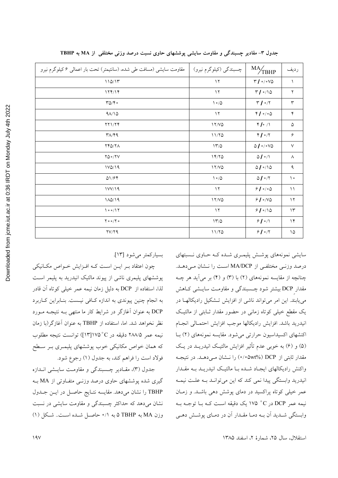| مقاومت سایشی (مسافت طی شده، (سانتیمتر) تحت بار اعمالی ۶ کیلوگرم نیرو | چسبندگي (کيلوگرم نيرو) | $M\frac{A}{T}$ BHP                                                                                                                                                                                                                                                                                                                                                                                                                                                                                                                          | رديف                      |
|----------------------------------------------------------------------|------------------------|---------------------------------------------------------------------------------------------------------------------------------------------------------------------------------------------------------------------------------------------------------------------------------------------------------------------------------------------------------------------------------------------------------------------------------------------------------------------------------------------------------------------------------------------|---------------------------|
| 110/17                                                               | $\gamma$               | $\mathbf{r} \bullet \mathbf{r} \bullet \mathbf{r} \bullet \mathbf{r} \bullet \mathbf{r} \bullet \mathbf{r} \bullet \mathbf{r} \bullet \mathbf{r} \bullet \mathbf{r} \bullet \mathbf{r} \bullet \mathbf{r} \bullet \mathbf{r} \bullet \mathbf{r} \bullet \mathbf{r} \bullet \mathbf{r} \bullet \mathbf{r} \bullet \mathbf{r} \bullet \mathbf{r} \bullet \mathbf{r} \bullet \mathbf{r} \bullet \mathbf{r} \bullet \mathbf{r} \bullet \mathbf{r} \bullet \mathbf{r} \bullet \mathbf{r} \bullet \mathbf{r} \bullet \mathbf{r} \bullet \mathbf{$ | $\lambda$                 |
| 174/14                                                               | $\gamma$               | $\mathbf{r}$ /10                                                                                                                                                                                                                                                                                                                                                                                                                                                                                                                            | $\mathbf Y$               |
| YQ/Y                                                                 | $\frac{1}{2}$          | $\mathbf{r} \bullet \mathbf{r}$                                                                                                                                                                                                                                                                                                                                                                                                                                                                                                             | $\mathbf{\breve{r}}$      |
| 91/10                                                                | $\gamma$               | 41000                                                                                                                                                                                                                                                                                                                                                                                                                                                                                                                                       | $\mathbf{\acute{r}}$      |
| $YY \ YY$                                                            | 17/VQ                  | $Y/\sim$                                                                                                                                                                                                                                                                                                                                                                                                                                                                                                                                    | ۵                         |
| $\mathsf{r}_{\Lambda/\mathsf{f}\mathsf{q}}$                          | 11/70                  | $Y / \sim$                                                                                                                                                                                                                                                                                                                                                                                                                                                                                                                                  | $\hat{\mathbf{y}}$        |
| <b>TYQ/ 71</b>                                                       | 17/0                   | $\bigcirc \mathbb{1} \circ \mathbb{1} \circ \mathbb{1} \circ \mathbb{1} \circ \mathbb{1}$                                                                                                                                                                                                                                                                                                                                                                                                                                                   | $\vee$                    |
| $YQ \circ / YV$                                                      | 17/70                  | $\Delta$ / $\circ$ / $\setminus$                                                                                                                                                                                                                                                                                                                                                                                                                                                                                                            | Λ                         |
| 1VQ/19                                                               | 17/VQ                  | $\bigcirc \mathbb{1} \circ \big/ \setminus \bigcirc$                                                                                                                                                                                                                                                                                                                                                                                                                                                                                        | ٩                         |
| Q1/FF                                                                | $1 \circ Q$            | $\Delta I \circ /T$                                                                                                                                                                                                                                                                                                                                                                                                                                                                                                                         | $\backslash$ $\circ$      |
| 1VV/19                                                               | $\gamma$               | 91000                                                                                                                                                                                                                                                                                                                                                                                                                                                                                                                                       | $\backslash$ $\backslash$ |
| 110/19                                                               | 17/VQ                  | 910/8                                                                                                                                                                                                                                                                                                                                                                                                                                                                                                                                       | $\gamma$                  |
| $\sqrt{00/17}$                                                       | $\mathcal{N}$          | 910/10                                                                                                                                                                                                                                                                                                                                                                                                                                                                                                                                      | $\backslash \Upsilon$     |
| $Y \circ \circ / Y \circ$                                            | 17/0                   | 910/1                                                                                                                                                                                                                                                                                                                                                                                                                                                                                                                                       | $\gamma$                  |
| YV/YQ                                                                | 11/70                  | 910/7                                                                                                                                                                                                                                                                                                                                                                                                                                                                                                                                       | $\backslash \mathcal{Q}$  |
|                                                                      |                        |                                                                                                                                                                                                                                                                                                                                                                                                                                                                                                                                             |                           |

جدول ۳- مقادیر چسبندگی و مقاومت سایشی پوششهای حاوی نسبت درصد وزنی مختلفی از MA به TBHP

بسياركمتر مي شود [١٣].

چون اعتقاد بـر ايــن اسـت كـه افــزايش خــواص مكــانيكي پوششهای پلیمری ناشی از پیوند مالئیک انیدرید به پلیمر است لذا، استفاده از DCP به دلیل زمان نیمه عمر خیلی کوتاه آن قادر به انجام چنین پیوندی به اندازه کـافی نیــست. بنــابراین کــاربرد DCP به عنوان آغازگر در شرایط کار ما منتهی بـه نتیجـه مـورد نظر نخواهد شد. اما، استفاده از TBHP به عنوان آغازگر(با زمان نيمه عمر ٢٨٨/٥ دقيقه در ٢٥°١٣](١٣) توانست نتيجه مطلوب که همان خواص مکانیکی خوب پوششهای پلیمـری بـر سـطح فولاد است را فراهم کند، به جدول (۱) رجوع شود.

جدول (٣)، مقـادير چـسبندگي و مقاومـت سايـشي انـدازه گیری شده پوششهای حاوی درصد وزنـی متفاوتی از MA بـه TBHP را نشان میدهد. مقایسه نتـایج حاصـل در ایــن جــدول نشان می دهد که حداکثر چسبندگی و مقاومت سایشی در نسبت وزن MA به TBHP ۵ به ۰/۱ حاصل شده است. شکل (۱)

سایشی نمونههای پوشش پلیمـری شـده کـه حـاوی نـسبتهای درصد وزنبي مختلفي از MA/DCP است را نـشان مـي دهـد. چنانچه از مقایسه نمونههای (۲) با (۳) و (۴) بر میآید هر چـه مقدار DCP بیشتر شود چـسبندگی و مقاومـت سایـشی کـاهش می یابند. این امر می تواند ناشی از افزایش تـشکیل رادیکالهـا در یک مقطع خیلی کوتاه زمانی در حضور مقدار ثـابتی از مالئیـک انيدريد باشد افزايش راديكالها موجب افزايش احتمـالي انجـام اکنشهای اکسیداسیون حرارتی میشود. مقایسه نمونههای (۲) بـا (۵) و (۶) به خوبی عدم تأثیر افزایش مالئیک انیدریـد در یـک مقدار ثابتی از DCP (%۵wt () را نـشان مـیدهـد. در نتیجـه واکنش رادیکالهای ایجاد شـده بـا مالئیـک انیدریـد بـه مقـدار انیدرید وابستگی پیدا نمی کند که این میتوانـد بـه علـت نیمـه عمر خیلی کوتاه پراکسید در دمای پوشش دهی باشـد. و زمـان نيمه عمر DCP در C° ١٧۵ يک دقيقه است کـه بــا توجــه بــه وابستگی شــدید اَن بــه دمــا مقــدار اَن در دمــای پوشــش دهــی

استقلال، سال ٢۵، شمارهٔ ٢، اسفند ١٣٨۵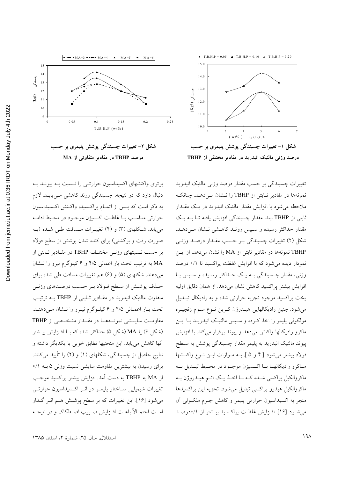





برتری واکنشهای اکسیداسیون حرارتـی را نــسبت بــه پیونــد بــه دنبال دارد که در نتیجه، چسبندگی روند کاهشی مـیbیابـد. لازم به ذکر است که پــس از اتمــام پراکــسید، واکــنش اکــسیداسیون حرارتی متناسـب بــا غلظـت اکــسیژن موجــود در محــیط ادامــه مییابد. شـکلهای (۳) و (۴) تغییــرات مــسافت طــی شــده (بــه صورت رفت و برگشتی) برای کنده شدن پوشش از سطح فولاد بر حسب نــسبتهای وزنــی مختلـف TBHP در مقــادیر ثــابتی از MA به ترتیب تحت بار اعمال<sub>ی</sub> ۴/۵ و ۶ کیلوگرم نیرو را نــشان میدهند. شکلهای (۵) و (۶) هم تغییرات مسافت طی شده برای حـذف پوشــش از سـطح فـولاد بـر حــسب درصــدهاي وزنــي متفاوت مالئیک انیدرید در مقـادیر ثــابتی از TBHP بــه ترتیـب تحت بـار اعمـالي ۴/۵ و ۶ كيلـوگرم نيـرو را نــشان مـيدهنــد. مقاومــت سايـــشى نمونـــههـــا در مقـــدار مشخـــصى از TBHP (شکل ۶) یا MA (شکل ۵) حداکثر شده که بـا افــزایش بیــشتر انها کاهش میbبابد. این منحنیها تطابق خوبی با یکدیگر داشته و نتایج حاصل از چسبندگی، شکلهای (۱) و (۲) را تایید م<sub>ی</sub>کنند. برای رسیدن به بیشترین مقاومت سایش<sub>ی</sub> نسبت وزن<sub>ی</sub> ۵ بــه ۰/۱ از MA به TBHP به دست آمد. افزایش بیشتر پراکسید موجب تغییرات شیمیایی ســاختار پلیمــر در اثــر اکــسیداسیون حرارتــی می شود [۱۶]. این تغییرات که بر سطح پوشش هـم اثـر گـذار اسـت احتمــالا باعــث افــزايش ضــريب اصــطكاك و در نتيجــه

تغییرات چسبندگی بر حسب مقدار درصد وزن*ی* مالئیک انیدرید نمونهها در مقادیر ثــابتی از TBHP را نــشان مــی۵هــد. چنانکــه ملاحظه میشود با افزایش مقدار مالئیک انیدرید در یـک مقــدار ابتی از TBHP ابتدا مقدار چسبندگی افزایش یافته تـا بــه یــک s مقدار حداکثر رسیده و سـپس رونـد کاهـشی نــشان مـی۱هــد. شکل (۲) تغییرات چسبندگی بـر حـسب مقــدار درصــد وزنــی TBHP نمونهها در مقادیر ثابتی از MA را نشان میدهد. از ایــن نمودار دیده میشود که با افزایش غلظت پراکسید تا ۰/۱ درصد وزنی، مقدار چــسبندگی بــه یــک حــداکثر رســیده و ســپس بــا افزایش بیشتر پراکسید کاهش نشان م<sub>ی</sub>دهد. از همان دقایق اولیه پخت پراکسید موجود تجربه حرارت<sub>ی</sub> شده و به رادیکال تبــدیل میشود. چنین رادیکالهایی هیــدرژن کــربن نــوع ســوم زنجیــره مولکولی پلیمر را اخذ کـرده و سـپس مالئیـک انیدریــد بــا ایــن ماکرو رادیکالها واکنش میدهد و پیوند برقرار میکند. با افزایش پیوند مالئیک انیدرید به پلیمر مقدار چسبندگی پوشش به ســطح فولاد بیشتر میشود [ ۴ و ۵ ]. بــه مــوازات ایــن نــوع واکنــشها مـاكرو راديكالهـا بــا اكــسيژن موجــود در محــيط تبــديل بــه ماکروالکیل پراکسی شــده کــه بــا اخــذ یــک اتــم هیــدروژن بــه ماکروالکیل هیدرو پراکسی تبدیل میشود. تجزیه این پراکسیدها منجر به اکسیداسیون حرارتی پلیمر و کاهش جـرم ملکــولی ان می شود [۱۶]. افـزایش غلظـت براكسيد بيــشتر از ۰/۱درصـد

مالئیک انیدرید ( wt% )

شکل ۱– تغییرات چسبندگی پوشش پلیمری بر حسب درصد وزنی مالئیک انیدرید در مقادیر مختلفی از TBHP

T.B.H.P =  $0.05$  - $\Box$ -T.B.H.P =  $0.10$  - $\Box$ -T.B.H.P = 0.20

234567

10.0

1 1.0

 $(Kgf)$ 

óYn\*g

12.0

1 3.0

14.0

15.0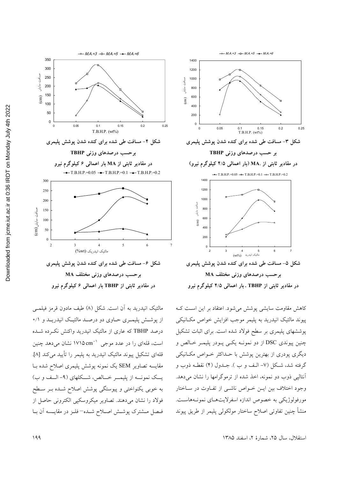

مالئیک انیدرید به آن است. شکل (۸) طیف مادون قرمز فیلمبی از یوشش پلیمبری حباوی دو درصید مالئیک انیدریید و ۰/۱ درصد TBHP که عاری از مالئیک انیدرید واکنش نکرده شده است، قلهای را در عدد موجی `` ۱۷۱۵ cm' نشان میدهد چنین قلهای تشکیل پیوند مالئیک انیدرید به پلیمر را تأیید می کند [۸]. مقایسه تصاویر SEM یک نمونه پوشش پلیمری اصلاح شده بـا یــک نمونــه از پلیمــر خــالص، شــکلهای (۹- الـف و ب) به خوبی یکنواختی و پیوستگی پوشش اصلاح شـده بـر سـطح فولاد را نشان میدهند. تصاویر میکروسکیی الکترونی حاصل از فيصل مستنترك پوشتش اصللاح شيده=فليز در مقايسيه أن بيا



 $\rightarrow$  MA=3 - 0 MA=5  $\rightarrow$  MA=6

1400

پیوند مالئیک انیدرید به پلیمر موجب افزایش خواص مکـانیکی پوششهای پلیمری بر سطح فولاد شده است. برای اثبات تشکیل چنین پیوندی DSC از دو نمونـه یکـی پـودر پلیمـر خـالص و دیگری پودری از بهترین پوشش با حـداکثر خـواص مکـانیکی گرفته شد، شکل (۷- الـف و ب ). جــدول (۴) نقطــه ذوب و آنتالیی ذوب دو نمونه، اخذ شده از ترموگرامها را نشان میدهد. وجود اختلاف بین ایـن خـواص ناشـی از تفـاوت در سـاختار مورفولوژیکی به خصوص اندازه اسفرلایتهای نمونـههاسـت. منشأ چنين تفاوتى اصلاح ساختار مولكولى پليمر از طريق پيوند

استقلال، سال ٢۵، شمارة ٢، اسفند ١٣٨٥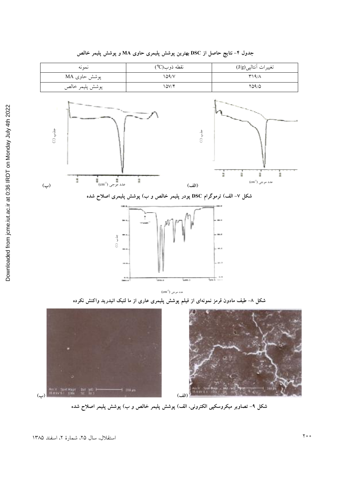

جدول ۴– نتایج حاصل از DSC بهترین پوشش پلیمری حاوی MA و پوشش پلیمر خالص



شکل ۹– تصاویر میکروسکپی الکترونی، الف) پوشش پلیمر خالص و ب) پوشش پلیمر اصلاح شده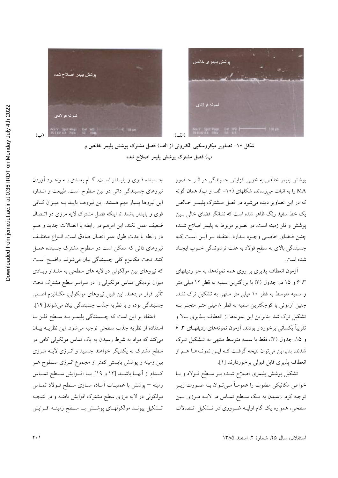



شکل ۱۰- تصاویر میکروسکپی الکترونی از الف) فصل مشترک پوشش پلیمر خالص و ب) فصل مشترک پوشش پلیمر اصلاح شده

> پوشش پلیمر خالص به خوبی افزایش چسبندگی در اثــر حــضور MA را به اثبات م<sub>ی</sub>رساند، شکلهای (۱۰– الف و ب). همان گونه که در این تصاویر دیده میشود در فصل مــشترک پلیمــر خــالص یک خط سفید رنگ ظاهر شده است که نشانگر فضای خالی بــین پوشش و فلز زمینه است. در تصویر مربوط به پلیمر اصلاح شـده چنین فــضای خاصــی وجــود نــدارد. اعتقــاد بــر ایــن اســت کــه چسبندگی بالای به سطح فولاد به علت ترشوندگی خــوب ایجــاد شده است.

> ازمون انعطاف پذیری بر روی همه نمونهها، به جز ردیفهای ۳، ۶ و ۱۵ در جدول (۳) با بزرگترین سمبه به قطر ۱۲ میلی متر و سمبه متوسط به قطر ١٠ ميلي متر منتهي به تشكيل ترك نشد. چنین ازمونی با کوچکترین سمبه به قطر ۸ میلی متـر منجـر بــه تشکیل ترک شد. بنابراین این نمونهها از انعطاف پـذیری بـالا و تقریبا یکسان<sub>ی</sub> برخوردار بودند. ازمون نمونههای ردیفهــای ۳، ۶ و ۱۵، جدول (۳)، فقط با سمبه متوسط منته<sub>ی</sub> به تــشکیل تــرک شدند، بنابراین میتوان نتیجه گرفت کـه ایـن نمونـههـا هـم از انعطاف پذیری قابل قبولی برخوردارند [۱].

> تشکیل پوشش پلیمری اصلاح شــده بــر ســطح فــولاد و بــا خواص مکانیکی مطلوب را عمومـا مـیتـوان بــه صــورت زیــر توجیه کرد. رسیدن به یـک سـطح تمـاس در لایــه مـرزي بــین سطحی، همواره یک گام اولیــه ضــروری در تــشکیل اتــصالات

چــسبنده قــوي و پايــدار اســت. گــام بعــدي بــه وجــود اوردن نیروهای چسبندگی ذاتی در بین سطوح است. طبیعت و انــدازه این نیروها بسیار مهم هستند. این نیروهـا بایــد بــه میــزان کــافـی قوی و پایدار باشند تا اینکه فصل مشترک لایه مرزی در اتــصال ضعيف عمل نكند. اين امرهم در رابطه با اتصالات جديد و هــم در رابطه با مدت طول عمر اتصال صادق است. انــواع مختلــف نیروهای ذات<sub>ی</sub> که ممکن است در سطوح مشترک چسبنده عمــل کنند تحت مکانیزم کل<sub>ی</sub> چسبندگی بیان میشوند. واضـح اسـت که نیروهای بین مولکولی در لایه های سطحی به مقــدار زیــادی میزان نزدیکی تماس مولکولی را در سراسر سطح مشترک تحت تاثیر قرار میدهند. این قبیل نیروهای مولکولی، مکــانیزم اصــلی چسبندگی بوده و با نظریه جذب چسبندگی بیان میشوند[ ۱۹].

اعتقاد بر این است که چــسبندگی پلیمــر بــه ســطح فلــز بــا استفاده از نظریه جذب سطحی توجیه میشود. این نظریــه بیــان میکند که مواد به شرط رسیدن به یک تماس مولکولی کافی در سطح مشترک به یکدیگر خواهند چسبید و انـرژی لایــه مـرزی بین زمینه و پوشش بایستی کمتر از مجموع انــرژی ســطوح هــر كــدام از آنهـــا باشـــد [۱۲ و ۱۹]. بـــا افـــزايش ســـطح تمـــاس زمینه – پوشش با عملیــات امــاده ســازی ســطح فــولاد تمــاس مولکولی در لایه مرزی سطح مشترک افزایش یافتــه و در نتیجــه تــشكيل پيونـــد مولكولهـــاى پوشـــش بـــا ســـطح زمينـــه افـــزايش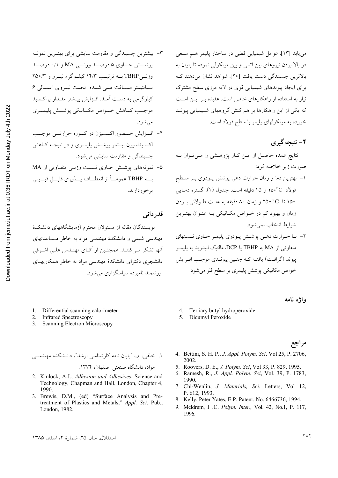- ۳- بیشترین چسبندگی و مقاومت سایشی برای بهتـرین نمونـه پوشش حاوي ۵ درصد وزنمي MA و ۰/۱ درصد وزنسی TBHP بــه ترتیــب ۱۴/۳ کیلــوگرم نیــرو و ۲۵۰/۳ ســانتيمتر مــسافت طــي شــده تحــت نيــروى اعمــالى ۶ کیلو گرمی به دست آمـد. افـزایش بیـشتر مقـدار پراکـسید موجب كساهش خسواص مكسانيكي يوشسش يليمسري مے شو د.
- ۴– اف زایش حــضور اکــسیژن در کــوره حرارتـــی موجـــب اکسیداسیون بیــشتر پوشــش پلیمــری و در نتیجــه کــاهش چسبندگی و مقاومت سایشی می شود.
- ۵- نمونههای پوشش حـاوی نـسبت وزنــی متفـاوتی از MA به TBHP عمومــاً از انعطــاف پــــذيري قابـــل قبـــولى بر خور دارند.

قدر دانی

نویسندگان مقاله از مسئولان محترم آزمایشگاههای دانشکدهٔ مهندسی شیمی و دانشکدهٔ مهندسی مواد به خاطر مـساعدتهای انها تشکر مے کننـد. همچنـین از اَقـای مهنـدس علـی اشـرفی دانشجوی دکترای دانشکدهٔ مهندسی مواد به خاطر همکاریهای ارزشمند نامبرده سیاسگزاری می شود.

- 1. Differential scanning calorimeter
- 2. Infrared Spectroscopy
- 3. Scanning Electron Microscopy

۱. خلقی، م.، "پایان نامه کارشناسی ارشد"، دانـشکده مهندســی مواد، دانشگاه صنعتی اصفهان، ۱۳۷۴.

- 2. Kinlock, A.J., Adhesion and Adhesives, Science and Technology, Chapman and Hall, London, Chapter 4, 1990.
- 3. Brewis, D.M., (ed) "Surface Analysis and Pretreatment of Plastics and Metals," Appl. Sci, Pub., London, 1982.

### ۴- نتیجهگیری

نتایج عمده حاصل از ایـن کـار پژوهـشی را مـی تـوان بـه صورت زیر خلاصه کرد:

- ۱– بهترین دما و زمان حرارت دهی پوشش پــودری بــر ســطح فولاد C°۳۵ و ۴۵ دقیقه است، جدول (۱). گستره دمیایی ۱۵۰ تا ۲۵۰°C و زمان ۸۰ دقیقه به علت طـولانی بـودن زمان و بهبود کم در خـواص مکـانیکی بـه عنـوان بهتـرین شرايط انتخاب نمي شود.
- ۲- بــا حــرارت دهــي پوشــش پــودري پليمــر حــاوي نــسبتهاي متفاوتی از MA به TBHP یا DCP، مالئیک انیدرید به پلیمـر ييوند (گرافـت) يافتـه كـه چنـين پيونـدي موجـب افـزايش خواص مكانيكي پوشش پليمري بر سطح فلز مي شود.

#### واژه نامه

- Tertiary butyl hydroperoxide
- 5. Dicumyl Peroxide

#### مراجع

- 4. Bettini, S. H. P., J. Appl. Polym. Sci. Vol 25, P. 2706, 2002.
- 5. Roovers, D. E., J. Polym. Sci, Vol 33, P. 829, 1995.
- 6. Ramesh, R., J. Appl. Polym. Sci, Vol. 39, P. 1783, 1990.
- 7. Chi-Wenlin, J. Materials, Sci. Letters, Vol 12, P. 612, 1993.
- 8. Kelly, Peter Yates, E.P. Patent. No. 6466736, 1994.
- 9. Meldrum, I.C. Polym. Inter., Vol. 42, No.1, P. 117, 1996.